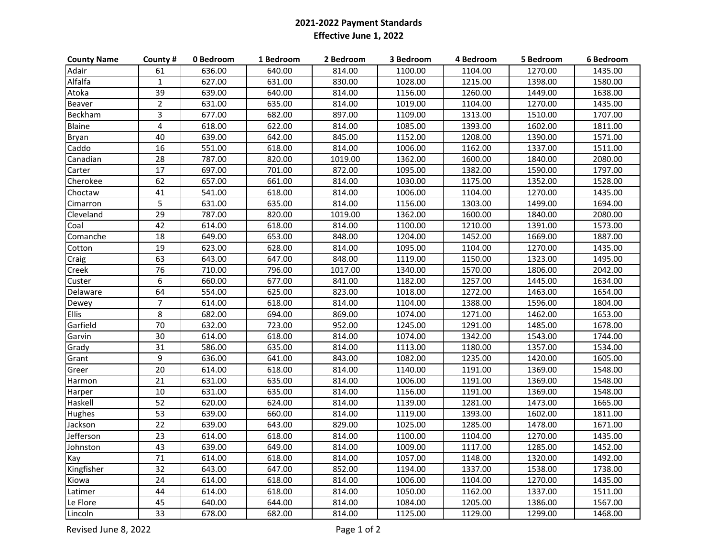## **2021-2022 Payment StandardsEffective June 1, 2022**

| <b>County Name</b> | County #        | 0 Bedroom | 1 Bedroom | 2 Bedroom | 3 Bedroom | 4 Bedroom | 5 Bedroom | 6 Bedroom |
|--------------------|-----------------|-----------|-----------|-----------|-----------|-----------|-----------|-----------|
| Adair              | 61              | 636.00    | 640.00    | 814.00    | 1100.00   | 1104.00   | 1270.00   | 1435.00   |
| Alfalfa            | $\mathbf{1}$    | 627.00    | 631.00    | 830.00    | 1028.00   | 1215.00   | 1398.00   | 1580.00   |
| Atoka              | $\overline{39}$ | 639.00    | 640.00    | 814.00    | 1156.00   | 1260.00   | 1449.00   | 1638.00   |
| Beaver             | $\overline{2}$  | 631.00    | 635.00    | 814.00    | 1019.00   | 1104.00   | 1270.00   | 1435.00   |
| Beckham            | $\overline{3}$  | 677.00    | 682.00    | 897.00    | 1109.00   | 1313.00   | 1510.00   | 1707.00   |
| Blaine             | $\overline{4}$  | 618.00    | 622.00    | 814.00    | 1085.00   | 1393.00   | 1602.00   | 1811.00   |
| Bryan              | 40              | 639.00    | 642.00    | 845.00    | 1152.00   | 1208.00   | 1390.00   | 1571.00   |
| Caddo              | 16              | 551.00    | 618.00    | 814.00    | 1006.00   | 1162.00   | 1337.00   | 1511.00   |
| Canadian           | $\overline{28}$ | 787.00    | 820.00    | 1019.00   | 1362.00   | 1600.00   | 1840.00   | 2080.00   |
| Carter             | 17              | 697.00    | 701.00    | 872.00    | 1095.00   | 1382.00   | 1590.00   | 1797.00   |
| Cherokee           | 62              | 657.00    | 661.00    | 814.00    | 1030.00   | 1175.00   | 1352.00   | 1528.00   |
| Choctaw            | 41              | 541.00    | 618.00    | 814.00    | 1006.00   | 1104.00   | 1270.00   | 1435.00   |
| Cimarron           | 5               | 631.00    | 635.00    | 814.00    | 1156.00   | 1303.00   | 1499.00   | 1694.00   |
| Cleveland          | $\overline{29}$ | 787.00    | 820.00    | 1019.00   | 1362.00   | 1600.00   | 1840.00   | 2080.00   |
| Coal               | 42              | 614.00    | 618.00    | 814.00    | 1100.00   | 1210.00   | 1391.00   | 1573.00   |
| Comanche           | 18              | 649.00    | 653.00    | 848.00    | 1204.00   | 1452.00   | 1669.00   | 1887.00   |
| Cotton             | 19              | 623.00    | 628.00    | 814.00    | 1095.00   | 1104.00   | 1270.00   | 1435.00   |
| Craig              | 63              | 643.00    | 647.00    | 848.00    | 1119.00   | 1150.00   | 1323.00   | 1495.00   |
| Creek              | 76              | 710.00    | 796.00    | 1017.00   | 1340.00   | 1570.00   | 1806.00   | 2042.00   |
| Custer             | 6               | 660.00    | 677.00    | 841.00    | 1182.00   | 1257.00   | 1445.00   | 1634.00   |
| Delaware           | 64              | 554.00    | 625.00    | 823.00    | 1018.00   | 1272.00   | 1463.00   | 1654.00   |
| Dewey              | $\overline{7}$  | 614.00    | 618.00    | 814.00    | 1104.00   | 1388.00   | 1596.00   | 1804.00   |
| <b>Ellis</b>       | 8               | 682.00    | 694.00    | 869.00    | 1074.00   | 1271.00   | 1462.00   | 1653.00   |
| Garfield           | 70              | 632.00    | 723.00    | 952.00    | 1245.00   | 1291.00   | 1485.00   | 1678.00   |
| Garvin             | 30              | 614.00    | 618.00    | 814.00    | 1074.00   | 1342.00   | 1543.00   | 1744.00   |
| Grady              | $\overline{31}$ | 586.00    | 635.00    | 814.00    | 1113.00   | 1180.00   | 1357.00   | 1534.00   |
| Grant              | 9               | 636.00    | 641.00    | 843.00    | 1082.00   | 1235.00   | 1420.00   | 1605.00   |
| Greer              | 20              | 614.00    | 618.00    | 814.00    | 1140.00   | 1191.00   | 1369.00   | 1548.00   |
| Harmon             | 21              | 631.00    | 635.00    | 814.00    | 1006.00   | 1191.00   | 1369.00   | 1548.00   |
| Harper             | 10              | 631.00    | 635.00    | 814.00    | 1156.00   | 1191.00   | 1369.00   | 1548.00   |
| Haskell            | $\overline{52}$ | 620.00    | 624.00    | 814.00    | 1139.00   | 1281.00   | 1473.00   | 1665.00   |
| <b>Hughes</b>      | 53              | 639.00    | 660.00    | 814.00    | 1119.00   | 1393.00   | 1602.00   | 1811.00   |
| Jackson            | 22              | 639.00    | 643.00    | 829.00    | 1025.00   | 1285.00   | 1478.00   | 1671.00   |
| Jefferson          | 23              | 614.00    | 618.00    | 814.00    | 1100.00   | 1104.00   | 1270.00   | 1435.00   |
| Johnston           | 43              | 639.00    | 649.00    | 814.00    | 1009.00   | 1117.00   | 1285.00   | 1452.00   |
| Kay                | $\overline{71}$ | 614.00    | 618.00    | 814.00    | 1057.00   | 1148.00   | 1320.00   | 1492.00   |
| Kingfisher         | 32              | 643.00    | 647.00    | 852.00    | 1194.00   | 1337.00   | 1538.00   | 1738.00   |
| Kiowa              | 24              | 614.00    | 618.00    | 814.00    | 1006.00   | 1104.00   | 1270.00   | 1435.00   |
| Latimer            | 44              | 614.00    | 618.00    | 814.00    | 1050.00   | 1162.00   | 1337.00   | 1511.00   |
| Le Flore           | 45              | 640.00    | 644.00    | 814.00    | 1084.00   | 1205.00   | 1386.00   | 1567.00   |
| Lincoln            | 33              | 678.00    | 682.00    | 814.00    | 1125.00   | 1129.00   | 1299.00   | 1468.00   |